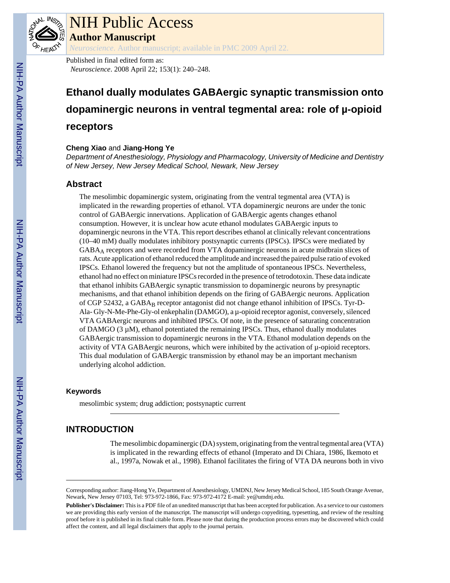

# NIH Public Access

**Author Manuscript**

*Neuroscience*. Author manuscript; available in PMC 2009 April 22.

Published in final edited form as: *Neuroscience*. 2008 April 22; 153(1): 240–248.

# **Ethanol dually modulates GABAergic synaptic transmission onto dopaminergic neurons in ventral tegmental area: role of µ-opioid receptors**

## **Cheng Xiao** and **Jiang-Hong Ye**

*Department of Anesthesiology, Physiology and Pharmacology, University of Medicine and Dentistry of New Jersey, New Jersey Medical School, Newark, New Jersey*

# **Abstract**

The mesolimbic dopaminergic system, originating from the ventral tegmental area (VTA) is implicated in the rewarding properties of ethanol. VTA dopaminergic neurons are under the tonic control of GABAergic innervations. Application of GABAergic agents changes ethanol consumption. However, it is unclear how acute ethanol modulates GABAergic inputs to dopaminergic neurons in the VTA. This report describes ethanol at clinically relevant concentrations (10–40 mM) dually modulates inhibitory postsynaptic currents (IPSCs). IPSCs were mediated by GABAA receptors and were recorded from VTA dopaminergic neurons in acute midbrain slices of rats. Acute application of ethanol reduced the amplitude and increased the paired pulse ratio of evoked IPSCs. Ethanol lowered the frequency but not the amplitude of spontaneous IPSCs. Nevertheless, ethanol had no effect on miniature IPSCs recorded in the presence of tetrodotoxin. These data indicate that ethanol inhibits GABAergic synaptic transmission to dopaminergic neurons by presynaptic mechanisms, and that ethanol inhibition depends on the firing of GABAergic neurons. Application of CGP 52432, a GABA<sub>B</sub> receptor antagonist did not change ethanol inhibition of IPSCs. Tyr-D-Ala- Gly-N-Me-Phe-Gly-ol enkephalin (DAMGO), a µ-opioid receptor agonist, conversely, silenced VTA GABAergic neurons and inhibited IPSCs. Of note, in the presence of saturating concentration of DAMGO  $(3 \mu M)$ , ethanol potentiated the remaining IPSCs. Thus, ethanol dually modulates GABAergic transmission to dopaminergic neurons in the VTA. Ethanol modulation depends on the activity of VTA GABAergic neurons, which were inhibited by the activation of  $\mu$ -opioid receptors. This dual modulation of GABAergic transmission by ethanol may be an important mechanism underlying alcohol addiction.

## **Keywords**

mesolimbic system; drug addiction; postsynaptic current

# **INTRODUCTION**

The mesolimbic dopaminergic (DA) system, originating from the ventral tegmental area (VTA) is implicated in the rewarding effects of ethanol (Imperato and Di Chiara, 1986, Ikemoto et al., 1997a, Nowak et al., 1998). Ethanol facilitates the firing of VTA DA neurons both in vivo

Corresponding author: Jiang-Hong Ye, Department of Anesthesiology, UMDNJ, New Jersey Medical School, 185 South Orange Avenue, Newark, New Jersey 07103, Tel: 973-972-1866, Fax: 973-972-4172 E-mail: ye@umdnj.edu.

**Publisher's Disclaimer:** This is a PDF file of an unedited manuscript that has been accepted for publication. As a service to our customers we are providing this early version of the manuscript. The manuscript will undergo copyediting, typesetting, and review of the resulting proof before it is published in its final citable form. Please note that during the production process errors may be discovered which could affect the content, and all legal disclaimers that apply to the journal pertain.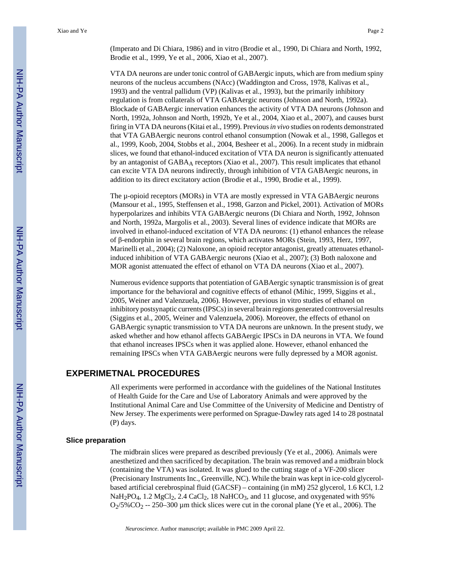(Imperato and Di Chiara, 1986) and in vitro (Brodie et al., 1990, Di Chiara and North, 1992, Brodie et al., 1999, Ye et al., 2006, Xiao et al., 2007).

VTA DA neurons are under tonic control of GABAergic inputs, which are from medium spiny neurons of the nucleus accumbens (NAcc) (Waddington and Cross, 1978, Kalivas et al., 1993) and the ventral pallidum (VP) (Kalivas et al., 1993), but the primarily inhibitory regulation is from collaterals of VTA GABAergic neurons (Johnson and North, 1992a). Blockade of GABAergic innervation enhances the activity of VTA DA neurons (Johnson and North, 1992a, Johnson and North, 1992b, Ye et al., 2004, Xiao et al., 2007), and causes burst firing in VTA DA neurons (Kitai et al., 1999). Previous *in vivo* studies on rodents demonstrated that VTA GABAergic neurons control ethanol consumption (Nowak et al., 1998, Gallegos et al., 1999, Koob, 2004, Stobbs et al., 2004, Besheer et al., 2006). In a recent study in midbrain slices, we found that ethanol-induced excitation of VTA DA neuron is significantly attenuated by an antagonist of GABA<sub>A</sub> receptors (Xiao et al., 2007). This result implicates that ethanol can excite VTA DA neurons indirectly, through inhibition of VTA GABAergic neurons, in addition to its direct excitatory action (Brodie et al., 1990, Brodie et al., 1999).

The µ-opioid receptors (MORs) in VTA are mostly expressed in VTA GABAergic neurons (Mansour et al., 1995, Steffensen et al., 1998, Garzon and Pickel, 2001). Activation of MORs hyperpolarizes and inhibits VTA GABAergic neurons (Di Chiara and North, 1992, Johnson and North, 1992a, Margolis et al., 2003). Several lines of evidence indicate that MORs are involved in ethanol-induced excitation of VTA DA neurons: (1) ethanol enhances the release of β-endorphin in several brain regions, which activates MORs (Stein, 1993, Herz, 1997, Marinelli et al., 2004); (2) Naloxone, an opioid receptor antagonist, greatly attenuates ethanolinduced inhibition of VTA GABAergic neurons (Xiao et al., 2007); (3) Both naloxone and MOR agonist attenuated the effect of ethanol on VTA DA neurons (Xiao et al., 2007).

Numerous evidence supports that potentiation of GABAergic synaptic transmission is of great importance for the behavioral and cognitive effects of ethanol (Mihic, 1999, Siggins et al., 2005, Weiner and Valenzuela, 2006). However, previous in vitro studies of ethanol on inhibitory postsynaptic currents (IPSCs) in several brain regions generated controversial results (Siggins et al., 2005, Weiner and Valenzuela, 2006). Moreover, the effects of ethanol on GABAergic synaptic transmission to VTA DA neurons are unknown. In the present study, we asked whether and how ethanol affects GABAergic IPSCs in DA neurons in VTA. We found that ethanol increases IPSCs when it was applied alone. However, ethanol enhanced the remaining IPSCs when VTA GABAergic neurons were fully depressed by a MOR agonist.

## **EXPERIMETNAL PROCEDURES**

All experiments were performed in accordance with the guidelines of the National Institutes of Health Guide for the Care and Use of Laboratory Animals and were approved by the Institutional Animal Care and Use Committee of the University of Medicine and Dentistry of New Jersey. The experiments were performed on Sprague-Dawley rats aged 14 to 28 postnatal (P) days.

#### **Slice preparation**

The midbrain slices were prepared as described previously (Ye et al., 2006). Animals were anesthetized and then sacrificed by decapitation. The brain was removed and a midbrain block (containing the VTA) was isolated. It was glued to the cutting stage of a VF-200 slicer (Precisionary Instruments Inc., Greenville, NC). While the brain was kept in ice-cold glycerolbased artificial cerebrospinal fluid (GACSF) – containing (in mM) 252 glycerol, 1.6 KCl, 1.2  $NaH<sub>2</sub>PO<sub>4</sub>$ , 1.2  $MgCl<sub>2</sub>$ , 2.4  $CaCl<sub>2</sub>$ , 18  $NaHCO<sub>3</sub>$ , and 11 glucose, and oxygenated with 95%  $O_2/5\%CO_2 - 250-300$  µm thick slices were cut in the coronal plane (Ye et al., 2006). The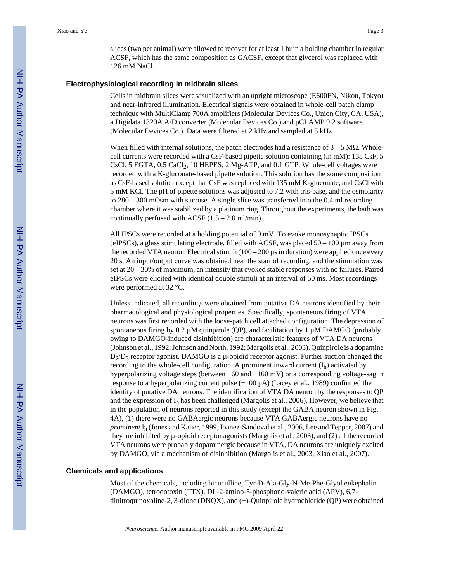slices (two per animal) were allowed to recover for at least 1 hr in a holding chamber in regular ACSF, which has the same composition as GACSF, except that glycerol was replaced with 126 mM NaCl.

## **Electrophysiological recording in midbrain slices**

Cells in midbrain slices were visualized with an upright microscope (E600FN, Nikon, Tokyo) and near-infrared illumination. Electrical signals were obtained in whole-cell patch clamp technique with MultiClamp 700A amplifiers (Molecular Devices Co., Union City, CA, USA), a Digidata 1320A A/D converter (Molecular Devices Co.) and pCLAMP 9.2 software (Molecular Devices Co.). Data were filtered at 2 kHz and sampled at 5 kHz.

When filled with internal solutions, the patch electrodes had a resistance of  $3 - 5$  M $\Omega$ . Wholecell currents were recorded with a CsF-based pipette solution containing (in mM): 135 CsF, 5 CsCl, 5 EGTA,  $0.5$  CaCl<sub>2</sub>, 10 HEPES, 2 Mg-ATP, and  $0.1$  GTP. Whole-cell voltages were recorded with a K-gluconate-based pipette solution. This solution has the some composition as CsF-based solution except that CsF was replaced with 135 mM K-gluconate, and CsCl with 5 mM KCl. The pH of pipette solutions was adjusted to 7.2 with tris-base, and the osmolarity to 280 – 300 mOsm with sucrose. A single slice was transferred into the 0.4 ml recording chamber where it was stabilized by a platinum ring. Throughout the experiments, the bath was continually perfused with ACSF  $(1.5 - 2.0 \text{ ml/min})$ .

All IPSCs were recorded at a holding potential of 0 mV. To evoke monosynaptic IPSCs (eIPSCs), a glass stimulating electrode, filled with ACSF, was placed 50 – 100 µm away from the recorded VTA neuron. Electrical stimuli  $(100 - 200 \,\mu s)$  in duration) were applied once every 20 s. An input/output curve was obtained near the start of recording, and the stimulation was set at 20 – 30% of maximum, an intensity that evoked stable responses with no failures. Paired eIPSCs were elicited with identical double stimuli at an interval of 50 ms. Most recordings were performed at 32 °C.

Unless indicated, all recordings were obtained from putative DA neurons identified by their pharmacological and physiological properties. Specifically, spontaneous firing of VTA neurons was first recorded with the loose-patch cell attached configuration. The depression of spontaneous firing by  $0.2 \mu M$  quinpirole (QP), and facilitation by 1  $\mu M$  DAMGO (probably owing to DAMGO-induced disinhibition) are characteristic features of VTA DA neurons (Johnson et al., 1992; Johnson and North, 1992; Margolis et al., 2003). Quinpirole is a dopamine D<sub>2</sub>/D<sub>3</sub> receptor agonist. DAMGO is a μ-opioid receptor agonist. Further suction changed the recording to the whole-cell configuration. A prominent inward current  $(I_h)$  activated by hyperpolarizing voltage steps (between −60 and −160 mV) or a corresponding voltage-sag in response to a hyperpolarizing current pulse (−100 pA) (Lacey et al., 1989) confirmed the identity of putative DA neurons. The identification of VTA DA neuron by the responses to QP and the expression of Ih has been challenged (Margolis et al., 2006). However, we believe that in the population of neurons reported in this study (except the GABA neuron shown in Fig. 4A), (1) there were no GABAergic neurons because VTA GABAergic neurons have no *prominent* Ih (Jones and Kauer, 1999, Ibanez-Sandoval et al., 2006, Lee and Tepper, 2007) and they are inhibited by µ-opioid receptor agonists (Margolis et al., 2003), and (2) all the recorded VTA neurons were probably dopaminergic because in VTA, DA neurons are uniquely excited by DAMGO, via a mechanism of disinhibition (Margolis et al., 2003, Xiao et al., 2007).

#### **Chemicals and applications**

Most of the chemicals, including bicuculline, Tyr-D-Ala-Gly-N-Me-Phe-Glyol enkephalin (DAMGO), tetrodotoxin (TTX), DL-2-amino-5-phosphono-valeric acid (APV), 6,7 dinitroquinoxaline-2, 3-dione (DNQX), and (−)-Quinpirole hydrochloride (QP) were obtained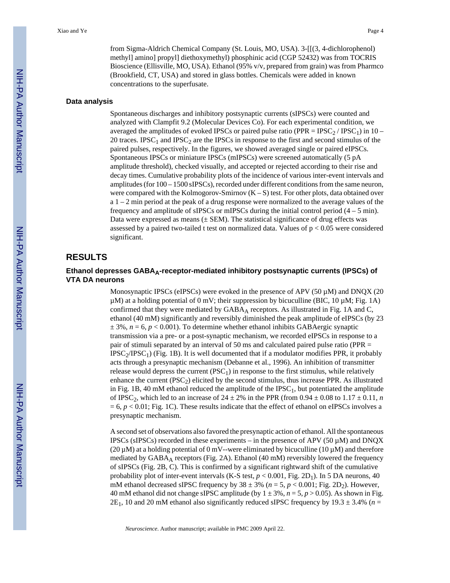from Sigma-Aldrich Chemical Company (St. Louis, MO, USA). 3-[[(3, 4-dichlorophenol) methyl] amino] propyl] diethoxymethyl) phosphinic acid (CGP 52432) was from TOCRIS Bioscience (Ellisville, MO, USA). Ethanol (95% v/v, prepared from grain) was from Pharmco (Brookfield, CT, USA) and stored in glass bottles. Chemicals were added in known concentrations to the superfusate.

#### **Data analysis**

Spontaneous discharges and inhibitory postsynaptic currents (sIPSCs) were counted and analyzed with Clampfit 9.2 (Molecular Devices Co). For each experimental condition, we averaged the amplitudes of evoked IPSCs or paired pulse ratio (PPR =  $\text{IPSC}_2$  / IPSC<sub>1</sub>) in 10 – 20 traces. IPSC<sub>1</sub> and IPSC<sub>2</sub> are the IPSCs in response to the first and second stimulus of the paired pulses, respectively. In the figures, we showed averaged single or paired eIPSCs. Spontaneous IPSCs or miniature IPSCs (mIPSCs) were screened automatically (5 pA amplitude threshold), checked visually, and accepted or rejected according to their rise and decay times. Cumulative probability plots of the incidence of various inter-event intervals and amplitudes (for 100 – 1500 sIPSCs), recorded under different conditions from the same neuron, were compared with the Kolmogorov-Smirnov  $(K - S)$  test. For other plots, data obtained over a 1 – 2 min period at the peak of a drug response were normalized to the average values of the frequency and amplitude of sIPSCs or mIPSCs during the initial control period  $(4 - 5 \text{ min})$ . Data were expressed as means  $(\pm$  SEM). The statistical significance of drug effects was assessed by a paired two-tailed t test on normalized data. Values of  $p < 0.05$  were considered significant.

## **RESULTS**

## **Ethanol depresses GABAA-receptor-mediated inhibitory postsynaptic currents (IPSCs) of VTA DA neurons**

Monosynaptic IPSCs (eIPSCs) were evoked in the presence of APV (50  $\mu$ M) and DNQX (20  $\mu$ M) at a holding potential of 0 mV; their suppression by bicuculline (BIC, 10  $\mu$ M; Fig. 1A) confirmed that they were mediated by  $GABA_A$  receptors. As illustrated in Fig. 1A and C, ethanol (40 mM) significantly and reversibly diminished the peak amplitude of eIPSCs (by 23  $\pm$  3%,  $n = 6$ ,  $p < 0.001$ ). To determine whether ethanol inhibits GABAergic synaptic transmission via a pre- or a post-synaptic mechanism, we recorded eIPSCs in response to a pair of stimuli separated by an interval of 50 ms and calculated paired pulse ratio (PPR =  $IPSC<sub>2</sub>/IPSC<sub>1</sub>$  (Fig. 1B). It is well documented that if a modulator modifies PPR, it probably acts through a presynaptic mechanism (Debanne et al., 1996). An inhibition of transmitter release would depress the current  $(PSC<sub>1</sub>)$  in response to the first stimulus, while relatively enhance the current  $(PSC_2)$  elicited by the second stimulus, thus increase PPR. As illustrated in Fig. 1B, 40 mM ethanol reduced the amplitude of the  $IPSC<sub>1</sub>$ , but potentiated the amplitude of IPSC<sub>2</sub>, which led to an increase of  $24 \pm 2\%$  in the PPR (from 0.94  $\pm$  0.08 to 1.17  $\pm$  0.11, *n*  $= 6, p < 0.01$ ; Fig. 1C). These results indicate that the effect of ethanol on eIPSCs involves a presynaptic mechanism.

A second set of observations also favored the presynaptic action of ethanol. All the spontaneous IPSCs (sIPSCs) recorded in these experiments – in the presence of APV (50  $\mu$ M) and DNQX (20  $\mu$ M) at a holding potential of 0 mV--were eliminated by bicuculline (10  $\mu$ M) and therefore mediated by  $GABA_A$  receptors (Fig. 2A). Ethanol (40 mM) reversibly lowered the frequency of sIPSCs (Fig. 2B, C). This is confirmed by a significant rightward shift of the cumulative probability plot of inter-event intervals (K-S test,  $p < 0.001$ , Fig. 2D<sub>1</sub>). In 5 DA neurons, 40 mM ethanol decreased sIPSC frequency by  $38 \pm 3\%$  ( $n = 5$ ,  $p < 0.001$ ; Fig. 2D<sub>2</sub>). However, 40 mM ethanol did not change sIPSC amplitude (by  $1 \pm 3\%$ ,  $n = 5$ ,  $p > 0.05$ ). As shown in Fig.  $2E_1$ , 10 and 20 mM ethanol also significantly reduced sIPSC frequency by 19.3  $\pm$  3.4% (*n* =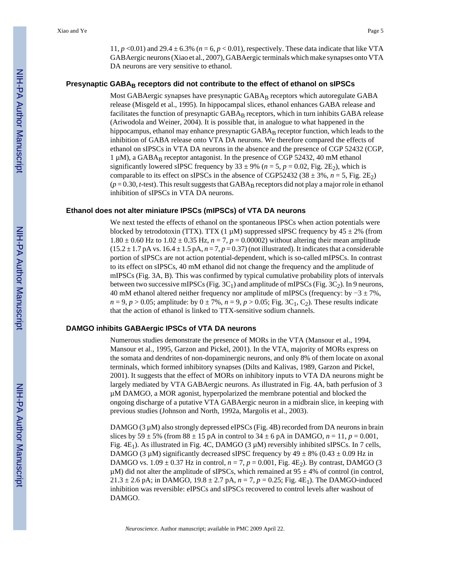11,  $p \le 0.01$  and 29.4  $\pm$  6.3% ( $n = 6$ ,  $p \le 0.01$ ), respectively. These data indicate that like VTA GABAergic neurons (Xiao et al., 2007), GABAergic terminals which make synapses onto VTA DA neurons are very sensitive to ethanol.

#### **Presynaptic GABAB receptors did not contribute to the effect of ethanol on sIPSCs**

Most GABAergic synapses have presynaptic GABAB receptors which autoregulate GABA release (Misgeld et al., 1995). In hippocampal slices, ethanol enhances GABA release and facilitates the function of presynaptic GABA<sub>B</sub> receptors, which in turn inhibits GABA release (Ariwodola and Weiner, 2004). It is possible that, in analogue to what happened in the hippocampus, ethanol may enhance presynaptic GABA<sub>B</sub> receptor function, which leads to the inhibition of GABA release onto VTA DA neurons. We therefore compared the effects of ethanol on sIPSCs in VTA DA neurons in the absence and the presence of CGP 52432 (CGP, 1 µM), a GABAB receptor antagonist. In the presence of CGP 52432, 40 mM ethanol significantly lowered sIPSC frequency by  $33 \pm 9\%$  ( $n = 5$ ,  $p = 0.02$ , Fig. 2E<sub>2</sub>), which is comparable to its effect on sIPSCs in the absence of CGP52432 (38  $\pm$  3%, *n* = 5, Fig. 2E<sub>2</sub>)  $(p = 0.30, t$ -test). This result suggests that GABA<sub>B</sub> receptors did not play a major role in ethanol inhibition of sIPSCs in VTA DA neurons.

#### **Ethanol does not alter miniature IPSCs (mIPSCs) of VTA DA neurons**

We next tested the effects of ethanol on the spontaneous IPSCs when action potentials were blocked by tetrodotoxin (TTX). TTX (1  $\mu$ M) suppressed sIPSC frequency by 45  $\pm$  2% (from  $1.80 \pm 0.60$  Hz to  $1.02 \pm 0.35$  Hz,  $n = 7$ ,  $p = 0.00002$ ) without altering their mean amplitude  $(15.2 \pm 1.7 \text{ pA vs. } 16.4 \pm 1.5 \text{ pA}, n = 7, p = 0.37)$  (not illustrated). It indicates that a considerable portion of sIPSCs are not action potential-dependent, which is so-called mIPSCs. In contrast to its effect on sIPSCs, 40 mM ethanol did not change the frequency and the amplitude of mIPSCs (Fig. 3A, B). This was confirmed by typical cumulative probability plots of intervals between two successive mIPSCs (Fig.  $3C_1$ ) and amplitude of mIPSCs (Fig.  $3C_2$ ). In 9 neurons, 40 mM ethanol altered neither frequency nor amplitude of mIPSCs (frequency: by  $-3 \pm 7\%$ ,  $n = 9, p > 0.05$ ; amplitude: by  $0 \pm 7\%$ ,  $n = 9, p > 0.05$ ; Fig. 3C<sub>1</sub>, C<sub>2</sub>). These results indicate that the action of ethanol is linked to TTX-sensitive sodium channels.

#### **DAMGO inhibits GABAergic IPSCs of VTA DA neurons**

Numerous studies demonstrate the presence of MORs in the VTA (Mansour et al., 1994, Mansour et al., 1995, Garzon and Pickel, 2001). In the VTA, majority of MORs express on the somata and dendrites of non-dopaminergic neurons, and only 8% of them locate on axonal terminals, which formed inhibitory synapses (Dilts and Kalivas, 1989, Garzon and Pickel, 2001). It suggests that the effect of MORs on inhibitory inputs to VTA DA neurons might be largely mediated by VTA GABAergic neurons. As illustrated in Fig. 4A, bath perfusion of 3 µM DAMGO, a MOR agonist, hyperpolarized the membrane potential and blocked the ongoing discharge of a putative VTA GABAergic neuron in a midbrain slice, in keeping with previous studies (Johnson and North, 1992a, Margolis et al., 2003).

DAMGO  $(3 \mu)$  also strongly depressed eIPSCs (Fig. 4B) recorded from DA neurons in brain slices by 59  $\pm$  5% (from 88  $\pm$  15 pA in control to 34  $\pm$  6 pA in DAMGO, *n* = 11, *p* = 0.001, Fig.  $4E_1$ ). As illustrated in Fig. 4C, DAMGO (3  $\mu$ M) reversibly inhibited sIPSCs. In 7 cells, DAMGO (3  $\mu$ M) significantly decreased sIPSC frequency by 49  $\pm$  8% (0.43  $\pm$  0.09 Hz in DAMGO vs.  $1.09 \pm 0.37$  Hz in control,  $n = 7$ ,  $p = 0.001$ , Fig. 4E<sub>2</sub>). By contrast, DAMGO (3)  $\mu$ M) did not alter the amplitude of sIPSCs, which remained at 95  $\pm$  4% of control (in control, 21.3  $\pm$  2.6 pA; in DAMGO, 19.8  $\pm$  2.7 pA,  $n = 7$ ,  $p = 0.25$ ; Fig. 4E<sub>1</sub>). The DAMGO-induced inhibition was reversible: eIPSCs and sIPSCs recovered to control levels after washout of DAMGO.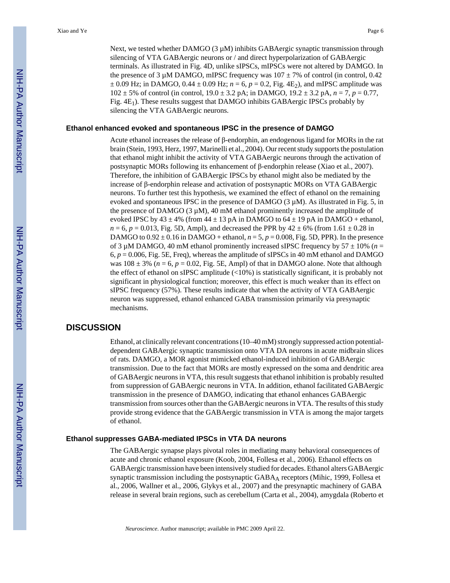Next, we tested whether DAMGO  $(3 \mu M)$  inhibits GABAergic synaptic transmission through silencing of VTA GABAergic neurons or / and direct hyperpolarization of GABAergic terminals. As illustrated in Fig. 4D, unlike sIPSCs, mIPSCs were not altered by DAMGO. In the presence of 3 µM DAMGO, mIPSC frequency was  $107 \pm 7\%$  of control (in control, 0.42)  $\pm$  0.09 Hz; in DAMGO, 0.44  $\pm$  0.09 Hz; *n* = 6, *p* = 0.2, Fig. 4E<sub>2</sub>), and mIPSC amplitude was  $102 \pm 5\%$  of control (in control,  $19.0 \pm 3.2$  pA; in DAMGO,  $19.2 \pm 3.2$  pA,  $n = 7$ ,  $p = 0.77$ , Fig.  $4E_1$ ). These results suggest that DAMGO inhibits GABAergic IPSCs probably by silencing the VTA GABAergic neurons.

#### **Ethanol enhanced evoked and spontaneous IPSC in the presence of DAMGO**

Acute ethanol increases the release of β-endorphin, an endogenous ligand for MORs in the rat brain (Stein, 1993, Herz, 1997, Marinelli et al., 2004). Our recent study supports the postulation that ethanol might inhibit the activity of VTA GABAergic neurons through the activation of postsynaptic MORs following its enhancement of β-endorphin release (Xiao et al., 2007). Therefore, the inhibition of GABAergic IPSCs by ethanol might also be mediated by the increase of β-endorphin release and activation of postsynaptic MORs on VTA GABAergic neurons. To further test this hypothesis, we examined the effect of ethanol on the remaining evoked and spontaneous IPSC in the presence of DAMGO  $(3 \mu M)$ . As illustrated in Fig. 5, in the presence of DAMGO ( $3 \mu$ M),  $40 \text{ mM}$  ethanol prominently increased the amplitude of evoked IPSC by  $43 \pm 4\%$  (from  $44 \pm 13$  pA in DAMGO to  $64 \pm 19$  pA in DAMGO + ethanol,  $n = 6$ ,  $p = 0.013$ , Fig. 5D, Ampl), and decreased the PPR by  $42 \pm 6\%$  (from 1.61  $\pm$  0.28 in DAMGO to  $0.92 \pm 0.16$  in DAMGO + ethanol,  $n = 5$ ,  $p = 0.008$ , Fig. 5D, PPR). In the presence of 3  $\mu$ M DAMGO, 40 mM ethanol prominently increased sIPSC frequency by 57  $\pm$  10% (*n* =  $6, p = 0.006$ , Fig. 5E, Freq), whereas the amplitude of sIPSCs in 40 mM ethanol and DAMGO was  $108 \pm 3\%$  ( $n = 6$ ,  $p = 0.02$ , Fig. 5E, Ampl) of that in DAMGO alone. Note that although the effect of ethanol on sIPSC amplitude  $\left($ <10%) is statistically significant, it is probably not significant in physiological function; moreover, this effect is much weaker than its effect on sIPSC frequency (57%). These results indicate that when the activity of VTA GABAergic neuron was suppressed, ethanol enhanced GABA transmission primarily via presynaptic mechanisms.

## **DISCUSSION**

Ethanol, at clinically relevant concentrations (10–40 mM) strongly suppressed action potentialdependent GABAergic synaptic transmission onto VTA DA neurons in acute midbrain slices of rats. DAMGO, a MOR agonist mimicked ethanol-induced inhibition of GABAergic transmission. Due to the fact that MORs are mostly expressed on the soma and dendritic area of GABAergic neurons in VTA, this result suggests that ethanol inhibition is probably resulted from suppression of GABAergic neurons in VTA. In addition, ethanol facilitated GABAergic transmission in the presence of DAMGO, indicating that ethanol enhances GABAergic transmission from sources other than the GABAergic neurons in VTA. The results of this study provide strong evidence that the GABAergic transmission in VTA is among the major targets of ethanol.

#### **Ethanol suppresses GABA-mediated IPSCs in VTA DA neurons**

The GABAergic synapse plays pivotal roles in mediating many behavioral consequences of acute and chronic ethanol exposure (Koob, 2004, Follesa et al., 2006). Ethanol effects on GABAergic transmission have been intensively studied for decades. Ethanol alters GABAergic synaptic transmission including the postsynaptic  $GABA_A$  receptors (Mihic, 1999, Follesa et al., 2006, Wallner et al., 2006, Glykys et al., 2007) and the presynaptic machinery of GABA release in several brain regions, such as cerebellum (Carta et al., 2004), amygdala (Roberto et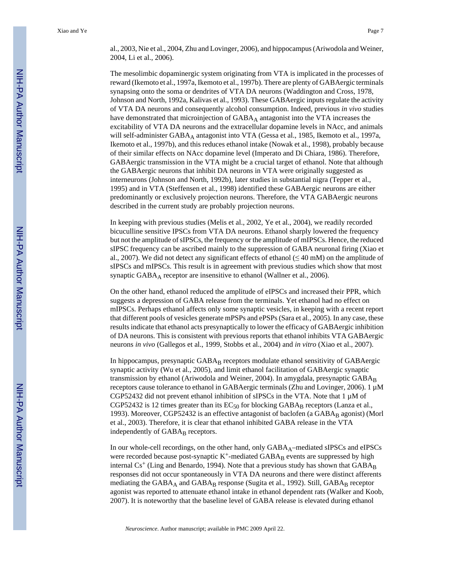al., 2003, Nie et al., 2004, Zhu and Lovinger, 2006), and hippocampus (Ariwodola and Weiner, 2004, Li et al., 2006).

The mesolimbic dopaminergic system originating from VTA is implicated in the processes of reward (Ikemoto et al., 1997a, Ikemoto et al., 1997b). There are plenty of GABAergic terminals synapsing onto the soma or dendrites of VTA DA neurons (Waddington and Cross, 1978, Johnson and North, 1992a, Kalivas et al., 1993). These GABAergic inputs regulate the activity of VTA DA neurons and consequently alcohol consumption. Indeed, previous *in vivo* studies have demonstrated that microinjection of GABAA antagonist into the VTA increases the excitability of VTA DA neurons and the extracellular dopamine levels in NAcc, and animals will self-administer  $GABA_A$  antagonist into VTA (Gessa et al., 1985, Ikemoto et al., 1997a, Ikemoto et al., 1997b), and this reduces ethanol intake (Nowak et al., 1998), probably because of their similar effects on NAcc dopamine level (Imperato and Di Chiara, 1986). Therefore, GABAergic transmission in the VTA might be a crucial target of ethanol. Note that although the GABAergic neurons that inhibit DA neurons in VTA were originally suggested as interneurons (Johnson and North, 1992b), later studies in substantial nigra (Tepper et al., 1995) and in VTA (Steffensen et al., 1998) identified these GABAergic neurons are either predominantly or exclusively projection neurons. Therefore, the VTA GABAergic neurons described in the current study are probably projection neurons.

In keeping with previous studies (Melis et al., 2002, Ye et al., 2004), we readily recorded bicuculline sensitive IPSCs from VTA DA neurons. Ethanol sharply lowered the frequency but not the amplitude of sIPSCs, the frequency or the amplitude of mIPSCs. Hence, the reduced sIPSC frequency can be ascribed mainly to the suppression of GABA neuronal firing (Xiao et al., 2007). We did not detect any significant effects of ethanol ( $\leq 40$  mM) on the amplitude of sIPSCs and mIPSCs. This result is in agreement with previous studies which show that most synaptic  $GABA_A$  receptor are insensitive to ethanol (Wallner et al., 2006).

On the other hand, ethanol reduced the amplitude of eIPSCs and increased their PPR, which suggests a depression of GABA release from the terminals. Yet ethanol had no effect on mIPSCs. Perhaps ethanol affects only some synaptic vesicles, in keeping with a recent report that different pools of vesicles generate mPSPs and ePSPs (Sara et al., 2005). In any case, these results indicate that ethanol acts presynaptically to lower the efficacy of GABAergic inhibition of DA neurons. This is consistent with previous reports that ethanol inhibits VTA GABAergic neurons *in vivo* (Gallegos et al., 1999, Stobbs et al., 2004) and *in vitro* (Xiao et al., 2007).

In hippocampus, presynaptic GABA<sub>B</sub> receptors modulate ethanol sensitivity of GABAergic synaptic activity (Wu et al., 2005), and limit ethanol facilitation of GABAergic synaptic transmission by ethanol (Ariwodola and Weiner, 2004). In amygdala, presynaptic  $GABA_B$ receptors cause tolerance to ethanol in GABAergic terminals (Zhu and Lovinger, 2006). 1 µM CGP52432 did not prevent ethanol inhibition of sIPSCs in the VTA. Note that  $1 \mu M$  of CGP52432 is 12 times greater than its  $EC_{50}$  for blocking GABA<sub>B</sub> receptors (Lanza et al., 1993). Moreover, CGP52432 is an effective antagonist of baclofen (a  $GABA_B$  agonist) (Morl et al., 2003). Therefore, it is clear that ethanol inhibited GABA release in the VTA independently of GABA<sub>B</sub> receptors.

In our whole-cell recordings, on the other hand, only GABA<sub>A</sub>–mediated sIPSCs and eIPSCs were recorded because post-synaptic  $K^+$ -mediated  $GABA_B$  events are suppressed by high internal  $Cs^+$  (Ling and Benardo, 1994). Note that a previous study has shown that  $GABA_B$ responses did not occur spontaneously in VTA DA neurons and there were distinct afferents mediating the  $GABA_A$  and  $GABA_B$  response (Sugita et al., 1992). Still,  $GABA_B$  receptor agonist was reported to attenuate ethanol intake in ethanol dependent rats (Walker and Koob, 2007). It is noteworthy that the baseline level of GABA release is elevated during ethanol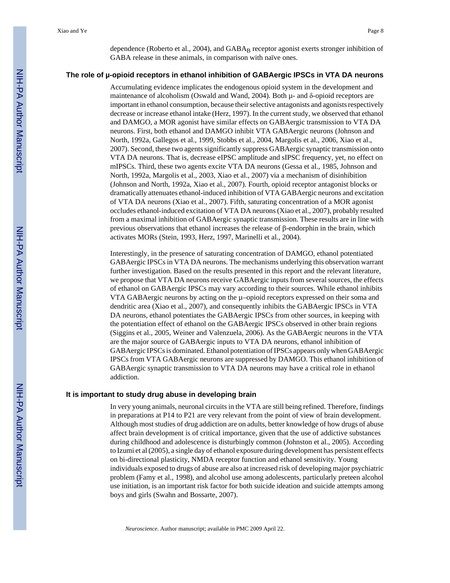dependence (Roberto et al., 2004), and GABA<sub>B</sub> receptor agonist exerts stronger inhibition of GABA release in these animals, in comparison with naïve ones.

#### **The role of µ-opioid receptors in ethanol inhibition of GABAergic IPSCs in VTA DA neurons**

Accumulating evidence implicates the endogenous opioid system in the development and maintenance of alcoholism (Oswald and Wand, 2004). Both  $\mu$ - and  $\delta$ -opioid receptors are important in ethanol consumption, because their selective antagonists and agonists respectively decrease or increase ethanol intake (Herz, 1997). In the current study, we observed that ethanol and DAMGO, a MOR agonist have similar effects on GABAergic transmission to VTA DA neurons. First, both ethanol and DAMGO inhibit VTA GABAergic neurons (Johnson and North, 1992a, Gallegos et al., 1999, Stobbs et al., 2004, Margolis et al., 2006, Xiao et al., 2007). Second, these two agents significantly suppress GABAergic synaptic transmission onto VTA DA neurons. That is, decrease eIPSC amplitude and sIPSC frequency, yet, no effect on mIPSCs. Third, these two agents excite VTA DA neurons (Gessa et al., 1985, Johnson and North, 1992a, Margolis et al., 2003, Xiao et al., 2007) via a mechanism of disinhibition (Johnson and North, 1992a, Xiao et al., 2007). Fourth, opioid receptor antagonist blocks or dramatically attenuates ethanol-induced inhibition of VTA GABAergic neurons and excitation of VTA DA neurons (Xiao et al., 2007). Fifth, saturating concentration of a MOR agonist occludes ethanol-induced excitation of VTA DA neurons (Xiao et al., 2007), probably resulted from a maximal inhibition of GABAergic synaptic transmission. These results are in line with previous observations that ethanol increases the release of β-endorphin in the brain, which activates MORs (Stein, 1993, Herz, 1997, Marinelli et al., 2004).

Interestingly, in the presence of saturating concentration of DAMGO, ethanol potentiated GABAergic IPSCs in VTA DA neurons. The mechanisms underlying this observation warrant further investigation. Based on the results presented in this report and the relevant literature, we propose that VTA DA neurons receive GABAergic inputs from several sources, the effects of ethanol on GABAergic IPSCs may vary according to their sources. While ethanol inhibits VTA GABAergic neurons by acting on the µ–opioid receptors expressed on their soma and dendritic area (Xiao et al., 2007), and consequently inhibits the GABAergic IPSCs in VTA DA neurons, ethanol potentiates the GABAergic IPSCs from other sources, in keeping with the potentiation effect of ethanol on the GABAergic IPSCs observed in other brain regions (Siggins et al., 2005, Weiner and Valenzuela, 2006). As the GABAergic neurons in the VTA are the major source of GABAergic inputs to VTA DA neurons, ethanol inhibition of GABAergic IPSCs is dominated. Ethanol potentiation of IPSCs appears only when GABAergic IPSCs from VTA GABAergic neurons are suppressed by DAMGO. This ethanol inhibition of GABAergic synaptic transmission to VTA DA neurons may have a critical role in ethanol addiction.

#### **It is important to study drug abuse in developing brain**

In very young animals, neuronal circuits in the VTA are still being refined. Therefore, findings in preparations at P14 to P21 are very relevant from the point of view of brain development. Although most studies of drug addiction are on adults, better knowledge of how drugs of abuse affect brain development is of critical importance, given that the use of addictive substances during childhood and adolescence is disturbingly common (Johnston et al., 2005). According to Izumi et al (2005), a single day of ethanol exposure during development has persistent effects on bi-directional plasticity, NMDA receptor function and ethanol sensitivity. Young individuals exposed to drugs of abuse are also at increased risk of developing major psychiatric problem (Famy et al., 1998), and alcohol use among adolescents, particularly preteen alcohol use initiation, is an important risk factor for both suicide ideation and suicide attempts among boys and girls (Swahn and Bossarte, 2007).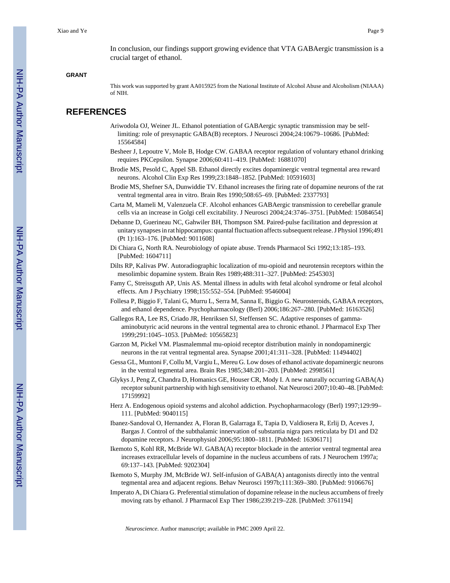In conclusion, our findings support growing evidence that VTA GABAergic transmission is a crucial target of ethanol.

#### **GRANT**

This work was supported by grant AA015925 from the National Institute of Alcohol Abuse and Alcoholism (NIAAA) of NIH.

## **REFERENCES**

- Ariwodola OJ, Weiner JL. Ethanol potentiation of GABAergic synaptic transmission may be selflimiting: role of presynaptic GABA(B) receptors. J Neurosci 2004;24:10679–10686. [PubMed: 15564584]
- Besheer J, Lepoutre V, Mole B, Hodge CW. GABAA receptor regulation of voluntary ethanol drinking requires PKCepsilon. Synapse 2006;60:411–419. [PubMed: 16881070]
- Brodie MS, Pesold C, Appel SB. Ethanol directly excites dopaminergic ventral tegmental area reward neurons. Alcohol Clin Exp Res 1999;23:1848–1852. [PubMed: 10591603]
- Brodie MS, Shefner SA, Dunwiddie TV. Ethanol increases the firing rate of dopamine neurons of the rat ventral tegmental area in vitro. Brain Res 1990;508:65–69. [PubMed: 2337793]
- Carta M, Mameli M, Valenzuela CF. Alcohol enhances GABAergic transmission to cerebellar granule cells via an increase in Golgi cell excitability. J Neurosci 2004;24:3746–3751. [PubMed: 15084654]
- Debanne D, Guerineau NC, Gahwiler BH, Thompson SM. Paired-pulse facilitation and depression at unitary synapses in rat hippocampus: quantal fluctuation affects subsequent release. J Physiol 1996;491 (Pt 1):163–176. [PubMed: 9011608]
- Di Chiara G, North RA. Neurobiology of opiate abuse. Trends Pharmacol Sci 1992;13:185–193. [PubMed: 1604711]
- Dilts RP, Kalivas PW. Autoradiographic localization of mu-opioid and neurotensin receptors within the mesolimbic dopamine system. Brain Res 1989;488:311–327. [PubMed: 2545303]
- Famy C, Streissguth AP, Unis AS. Mental illness in adults with fetal alcohol syndrome or fetal alcohol effects. Am J Psychiatry 1998;155:552–554. [PubMed: 9546004]
- Follesa P, Biggio F, Talani G, Murru L, Serra M, Sanna E, Biggio G. Neurosteroids, GABAA receptors, and ethanol dependence. Psychopharmacology (Berl) 2006;186:267–280. [PubMed: 16163526]
- Gallegos RA, Lee RS, Criado JR, Henriksen SJ, Steffensen SC. Adaptive responses of gammaaminobutyric acid neurons in the ventral tegmental area to chronic ethanol. J Pharmacol Exp Ther 1999;291:1045–1053. [PubMed: 10565823]
- Garzon M, Pickel VM. Plasmalemmal mu-opioid receptor distribution mainly in nondopaminergic neurons in the rat ventral tegmental area. Synapse 2001;41:311–328. [PubMed: 11494402]
- Gessa GL, Muntoni F, Collu M, Vargiu L, Mereu G. Low doses of ethanol activate dopaminergic neurons in the ventral tegmental area. Brain Res 1985;348:201–203. [PubMed: 2998561]
- Glykys J, Peng Z, Chandra D, Homanics GE, Houser CR, Mody I. A new naturally occurring GABA(A) receptor subunit partnership with high sensitivity to ethanol. Nat Neurosci 2007;10:40–48. [PubMed: 17159992]
- Herz A. Endogenous opioid systems and alcohol addiction. Psychopharmacology (Berl) 1997;129:99– 111. [PubMed: 9040115]
- Ibanez-Sandoval O, Hernandez A, Floran B, Galarraga E, Tapia D, Valdiosera R, Erlij D, Aceves J, Bargas J. Control of the subthalamic innervation of substantia nigra pars reticulata by D1 and D2 dopamine receptors. J Neurophysiol 2006;95:1800–1811. [PubMed: 16306171]
- Ikemoto S, Kohl RR, McBride WJ. GABA(A) receptor blockade in the anterior ventral tegmental area increases extracellular levels of dopamine in the nucleus accumbens of rats. J Neurochem 1997a; 69:137–143. [PubMed: 9202304]
- Ikemoto S, Murphy JM, McBride WJ. Self-infusion of GABA(A) antagonists directly into the ventral tegmental area and adjacent regions. Behav Neurosci 1997b;111:369–380. [PubMed: 9106676]
- Imperato A, Di Chiara G. Preferential stimulation of dopamine release in the nucleus accumbens of freely moving rats by ethanol. J Pharmacol Exp Ther 1986;239:219–228. [PubMed: 3761194]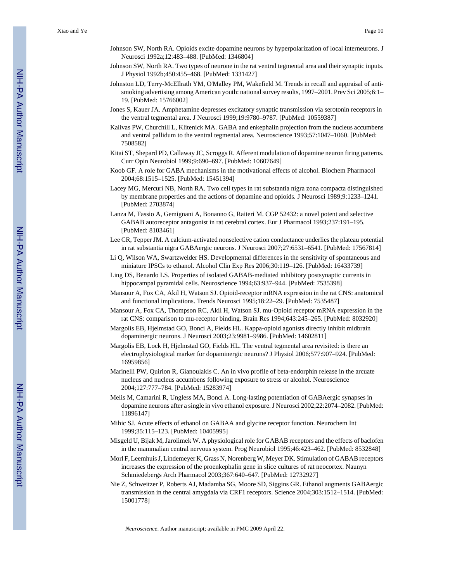- Johnson SW, North RA. Opioids excite dopamine neurons by hyperpolarization of local interneurons. J Neurosci 1992a;12:483–488. [PubMed: 1346804]
- Johnson SW, North RA. Two types of neurone in the rat ventral tegmental area and their synaptic inputs. J Physiol 1992b;450:455–468. [PubMed: 1331427]
- Johnston LD, Terry-McEllrath YM, O'Malley PM, Wakefield M. Trends in recall and appraisal of antismoking advertising among American youth: national survey results, 1997–2001. Prev Sci 2005;6:1– 19. [PubMed: 15766002]
- Jones S, Kauer JA. Amphetamine depresses excitatory synaptic transmission via serotonin receptors in the ventral tegmental area. J Neurosci 1999;19:9780–9787. [PubMed: 10559387]
- Kalivas PW, Churchill L, Klitenick MA. GABA and enkephalin projection from the nucleus accumbens and ventral pallidum to the ventral tegmental area. Neuroscience 1993;57:1047–1060. [PubMed: 7508582]
- Kitai ST, Shepard PD, Callaway JC, Scroggs R. Afferent modulation of dopamine neuron firing patterns. Curr Opin Neurobiol 1999;9:690–697. [PubMed: 10607649]
- Koob GF. A role for GABA mechanisms in the motivational effects of alcohol. Biochem Pharmacol 2004;68:1515–1525. [PubMed: 15451394]
- Lacey MG, Mercuri NB, North RA. Two cell types in rat substantia nigra zona compacta distinguished by membrane properties and the actions of dopamine and opioids. J Neurosci 1989;9:1233–1241. [PubMed: 2703874]
- Lanza M, Fassio A, Gemignani A, Bonanno G, Raiteri M. CGP 52432: a novel potent and selective GABAB autoreceptor antagonist in rat cerebral cortex. Eur J Pharmacol 1993;237:191–195. [PubMed: 8103461]
- Lee CR, Tepper JM. A calcium-activated nonselective cation conductance underlies the plateau potential in rat substantia nigra GABAergic neurons. J Neurosci 2007;27:6531–6541. [PubMed: 17567814]
- Li Q, Wilson WA, Swartzwelder HS. Developmental differences in the sensitivity of spontaneous and miniature IPSCs to ethanol. Alcohol Clin Exp Res 2006;30:119–126. [PubMed: 16433739]
- Ling DS, Benardo LS. Properties of isolated GABAB-mediated inhibitory postsynaptic currents in hippocampal pyramidal cells. Neuroscience 1994;63:937–944. [PubMed: 7535398]
- Mansour A, Fox CA, Akil H, Watson SJ. Opioid-receptor mRNA expression in the rat CNS: anatomical and functional implications. Trends Neurosci 1995;18:22–29. [PubMed: 7535487]
- Mansour A, Fox CA, Thompson RC, Akil H, Watson SJ. mu-Opioid receptor mRNA expression in the rat CNS: comparison to mu-receptor binding. Brain Res 1994;643:245–265. [PubMed: 8032920]
- Margolis EB, Hjelmstad GO, Bonci A, Fields HL. Kappa-opioid agonists directly inhibit midbrain dopaminergic neurons. J Neurosci 2003;23:9981–9986. [PubMed: 14602811]
- Margolis EB, Lock H, Hjelmstad GO, Fields HL. The ventral tegmental area revisited: is there an electrophysiological marker for dopaminergic neurons? J Physiol 2006;577:907–924. [PubMed: 16959856]
- Marinelli PW, Quirion R, Gianoulakis C. An in vivo profile of beta-endorphin release in the arcuate nucleus and nucleus accumbens following exposure to stress or alcohol. Neuroscience 2004;127:777–784. [PubMed: 15283974]
- Melis M, Camarini R, Ungless MA, Bonci A. Long-lasting potentiation of GABAergic synapses in dopamine neurons after a single in vivo ethanol exposure. J Neurosci 2002;22:2074–2082. [PubMed: 11896147]
- Mihic SJ. Acute effects of ethanol on GABAA and glycine receptor function. Neurochem Int 1999;35:115–123. [PubMed: 10405995]
- Misgeld U, Bijak M, Jarolimek W. A physiological role for GABAB receptors and the effects of baclofen in the mammalian central nervous system. Prog Neurobiol 1995;46:423–462. [PubMed: 8532848]
- Morl F, Leemhuis J, Lindemeyer K, Grass N, Norenberg W, Meyer DK. Stimulation of GABAB receptors increases the expression of the proenkephalin gene in slice cultures of rat neocortex. Naunyn Schmiedebergs Arch Pharmacol 2003;367:640–647. [PubMed: 12732927]
- Nie Z, Schweitzer P, Roberts AJ, Madamba SG, Moore SD, Siggins GR. Ethanol augments GABAergic transmission in the central amygdala via CRF1 receptors. Science 2004;303:1512–1514. [PubMed: 15001778]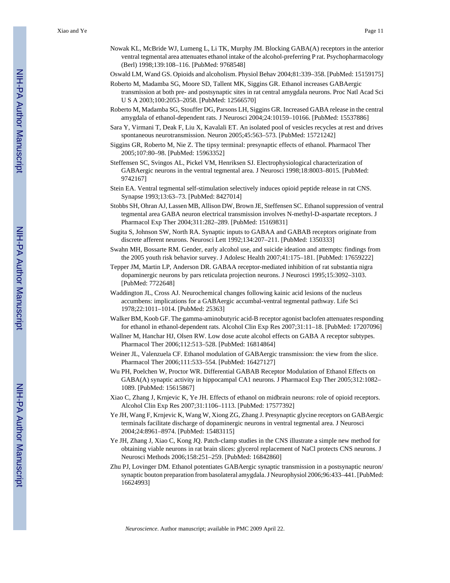- Nowak KL, McBride WJ, Lumeng L, Li TK, Murphy JM. Blocking GABA(A) receptors in the anterior ventral tegmental area attenuates ethanol intake of the alcohol-preferring P rat. Psychopharmacology (Berl) 1998;139:108–116. [PubMed: 9768548]
- Oswald LM, Wand GS. Opioids and alcoholism. Physiol Behav 2004;81:339–358. [PubMed: 15159175]
- Roberto M, Madamba SG, Moore SD, Tallent MK, Siggins GR. Ethanol increases GABAergic transmission at both pre- and postsynaptic sites in rat central amygdala neurons. Proc Natl Acad Sci U S A 2003;100:2053–2058. [PubMed: 12566570]
- Roberto M, Madamba SG, Stouffer DG, Parsons LH, Siggins GR. Increased GABA release in the central amygdala of ethanol-dependent rats. J Neurosci 2004;24:10159–10166. [PubMed: 15537886]
- Sara Y, Virmani T, Deak F, Liu X, Kavalali ET. An isolated pool of vesicles recycles at rest and drives spontaneous neurotransmission. Neuron 2005;45:563–573. [PubMed: 15721242]
- Siggins GR, Roberto M, Nie Z. The tipsy terminal: presynaptic effects of ethanol. Pharmacol Ther 2005;107:80–98. [PubMed: 15963352]
- Steffensen SC, Svingos AL, Pickel VM, Henriksen SJ. Electrophysiological characterization of GABAergic neurons in the ventral tegmental area. J Neurosci 1998;18:8003–8015. [PubMed: 9742167]
- Stein EA. Ventral tegmental self-stimulation selectively induces opioid peptide release in rat CNS. Synapse 1993;13:63–73. [PubMed: 8427014]
- Stobbs SH, Ohran AJ, Lassen MB, Allison DW, Brown JE, Steffensen SC. Ethanol suppression of ventral tegmental area GABA neuron electrical transmission involves N-methyl-D-aspartate receptors. J Pharmacol Exp Ther 2004;311:282–289. [PubMed: 15169831]
- Sugita S, Johnson SW, North RA. Synaptic inputs to GABAA and GABAB receptors originate from discrete afferent neurons. Neurosci Lett 1992;134:207–211. [PubMed: 1350333]
- Swahn MH, Bossarte RM. Gender, early alcohol use, and suicide ideation and attempts: findings from the 2005 youth risk behavior survey. J Adolesc Health 2007;41:175–181. [PubMed: 17659222]
- Tepper JM, Martin LP, Anderson DR. GABAA receptor-mediated inhibition of rat substantia nigra dopaminergic neurons by pars reticulata projection neurons. J Neurosci 1995;15:3092–3103. [PubMed: 7722648]
- Waddington JL, Cross AJ. Neurochemical changes following kainic acid lesions of the nucleus accumbens: implications for a GABAergic accumbal-ventral tegmental pathway. Life Sci 1978;22:1011–1014. [PubMed: 25363]
- Walker BM, Koob GF. The gamma-aminobutyric acid-B receptor agonist baclofen attenuates responding for ethanol in ethanol-dependent rats. Alcohol Clin Exp Res 2007;31:11–18. [PubMed: 17207096]
- Wallner M, Hanchar HJ, Olsen RW. Low dose acute alcohol effects on GABA A receptor subtypes. Pharmacol Ther 2006;112:513–528. [PubMed: 16814864]
- Weiner JL, Valenzuela CF. Ethanol modulation of GABAergic transmission: the view from the slice. Pharmacol Ther 2006;111:533–554. [PubMed: 16427127]
- Wu PH, Poelchen W, Proctor WR. Differential GABAB Receptor Modulation of Ethanol Effects on GABA(A) synaptic activity in hippocampal CA1 neurons. J Pharmacol Exp Ther 2005;312:1082– 1089. [PubMed: 15615867]
- Xiao C, Zhang J, Krnjevic K, Ye JH. Effects of ethanol on midbrain neurons: role of opioid receptors. Alcohol Clin Exp Res 2007;31:1106–1113. [PubMed: 17577392]
- Ye JH, Wang F, Krnjevic K, Wang W, Xiong ZG, Zhang J. Presynaptic glycine receptors on GABAergic terminals facilitate discharge of dopaminergic neurons in ventral tegmental area. J Neurosci 2004;24:8961–8974. [PubMed: 15483115]
- Ye JH, Zhang J, Xiao C, Kong JQ. Patch-clamp studies in the CNS illustrate a simple new method for obtaining viable neurons in rat brain slices: glycerol replacement of NaCl protects CNS neurons. J Neurosci Methods 2006;158:251–259. [PubMed: 16842860]
- Zhu PJ, Lovinger DM. Ethanol potentiates GABAergic synaptic transmission in a postsynaptic neuron/ synaptic bouton preparation from basolateral amygdala. J Neurophysiol 2006;96:433–441. [PubMed: 16624993]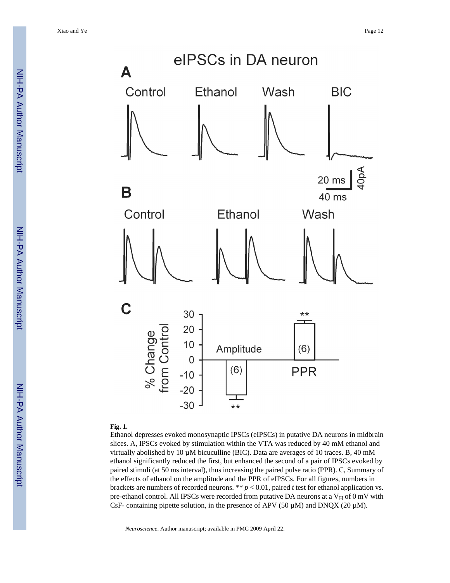

#### **Fig. 1.**

Ethanol depresses evoked monosynaptic IPSCs (eIPSCs) in putative DA neurons in midbrain slices. A, IPSCs evoked by stimulation within the VTA was reduced by 40 mM ethanol and virtually abolished by 10  $\mu$ M bicuculline (BIC). Data are averages of 10 traces. B, 40 mM ethanol significantly reduced the first, but enhanced the second of a pair of IPSCs evoked by paired stimuli (at 50 ms interval), thus increasing the paired pulse ratio (PPR). C, Summary of the effects of ethanol on the amplitude and the PPR of eIPSCs. For all figures, numbers in brackets are numbers of recorded neurons. \*\* *p* < 0.01, paired *t* test for ethanol application vs. pre-ethanol control. All IPSCs were recorded from putative DA neurons at a  $V_H$  of 0 mV with CsF- containing pipette solution, in the presence of APV (50  $\mu$ M) and DNQX (20  $\mu$ M).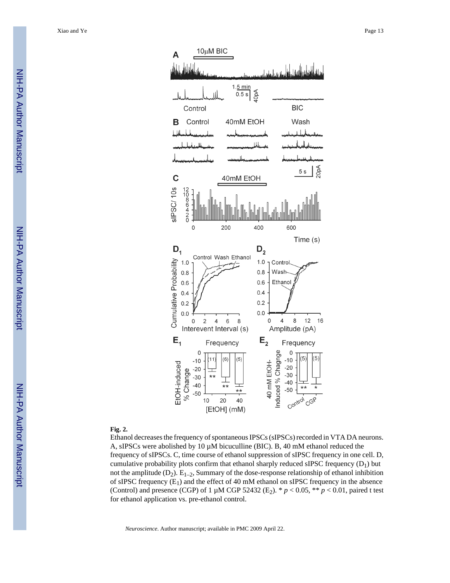

#### **Fig. 2.**

Ethanol decreases the frequency of spontaneous IPSCs (sIPSCs) recorded in VTA DA neurons. A, sIPSCs were abolished by 10  $\mu$ M bicuculline (BIC). B, 40 mM ethanol reduced the frequency of sIPSCs. C, time course of ethanol suppression of sIPSC frequency in one cell. D, cumulative probability plots confirm that ethanol sharply reduced sIPSC frequency  $(D_1)$  but not the amplitude  $(D_2)$ .  $E_{1-2}$ , Summary of the dose-response relationship of ethanol inhibition of sIPSC frequency  $(E_1)$  and the effect of 40 mM ethanol on sIPSC frequency in the absence (Control) and presence (CGP) of 1  $\mu$ M CGP 52432 (E<sub>2</sub>). \* *p* < 0.05, \*\* *p* < 0.01, paired t test for ethanol application vs. pre-ethanol control.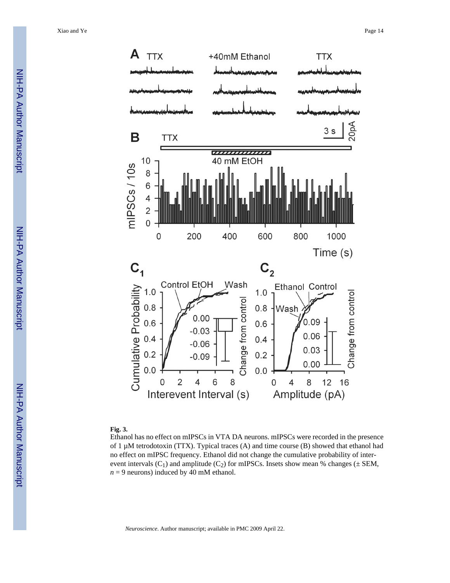

#### **Fig. 3.**

Ethanol has no effect on mIPSCs in VTA DA neurons. mIPSCs were recorded in the presence of 1 µM tetrodotoxin (TTX). Typical traces (A) and time course (B) showed that ethanol had no effect on mIPSC frequency. Ethanol did not change the cumulative probability of interevent intervals  $(C_1)$  and amplitude  $(C_2)$  for mIPSCs. Insets show mean % changes ( $\pm$  SEM,  $n = 9$  neurons) induced by 40 mM ethanol.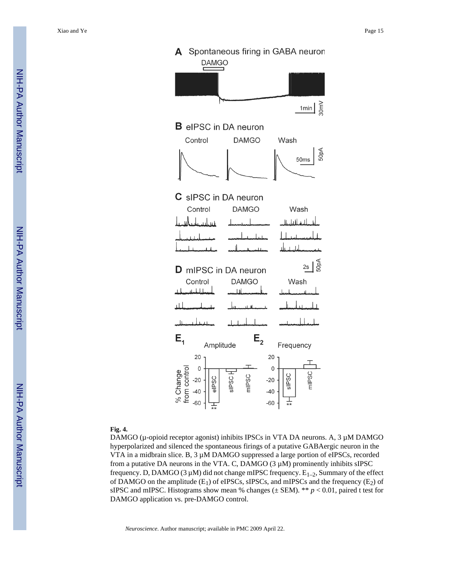

### **Fig. 4.**

DAMGO (µ-opioid receptor agonist) inhibits IPSCs in VTA DA neurons. A, 3 µM DAMGO hyperpolarized and silenced the spontaneous firings of a putative GABAergic neuron in the VTA in a midbrain slice. B,  $3 \mu M$  DAMGO suppressed a large portion of eIPSCs, recorded from a putative DA neurons in the VTA. C, DAMGO  $(3 \mu M)$  prominently inhibits sIPSC frequency. D, DAMGO (3  $\mu$ M) did not change mIPSC frequency.  $E_{1-2}$ , Summary of the effect of DAMGO on the amplitude  $(E_1)$  of eIPSCs, sIPSCs, and mIPSCs and the frequency  $(E_2)$  of sIPSC and mIPSC. Histograms show mean % changes ( $\pm$  SEM). \*\* *p* < 0.01, paired t test for DAMGO application vs. pre-DAMGO control.